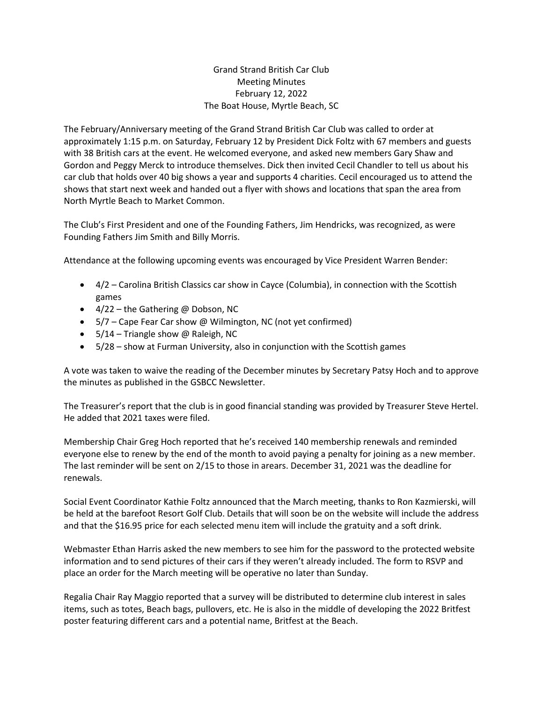Grand Strand British Car Club Meeting Minutes February 12, 2022 The Boat House, Myrtle Beach, SC

The February/Anniversary meeting of the Grand Strand British Car Club was called to order at approximately 1:15 p.m. on Saturday, February 12 by President Dick Foltz with 67 members and guests with 38 British cars at the event. He welcomed everyone, and asked new members Gary Shaw and Gordon and Peggy Merck to introduce themselves. Dick then invited Cecil Chandler to tell us about his car club that holds over 40 big shows a year and supports 4 charities. Cecil encouraged us to attend the shows that start next week and handed out a flyer with shows and locations that span the area from North Myrtle Beach to Market Common.

The Club's First President and one of the Founding Fathers, Jim Hendricks, was recognized, as were Founding Fathers Jim Smith and Billy Morris.

Attendance at the following upcoming events was encouraged by Vice President Warren Bender:

- 4/2 Carolina British Classics car show in Cayce (Columbia), in connection with the Scottish games
- $\bullet$  4/22 the Gathering @ Dobson, NC
- 5/7 Cape Fear Car show @ Wilmington, NC (not yet confirmed)
- $\bullet$  5/14 Triangle show @ Raleigh, NC
- 5/28 show at Furman University, also in conjunction with the Scottish games

A vote was taken to waive the reading of the December minutes by Secretary Patsy Hoch and to approve the minutes as published in the GSBCC Newsletter.

The Treasurer's report that the club is in good financial standing was provided by Treasurer Steve Hertel. He added that 2021 taxes were filed.

Membership Chair Greg Hoch reported that he's received 140 membership renewals and reminded everyone else to renew by the end of the month to avoid paying a penalty for joining as a new member. The last reminder will be sent on 2/15 to those in arears. December 31, 2021 was the deadline for renewals.

Social Event Coordinator Kathie Foltz announced that the March meeting, thanks to Ron Kazmierski, will be held at the barefoot Resort Golf Club. Details that will soon be on the website will include the address and that the \$16.95 price for each selected menu item will include the gratuity and a soft drink.

Webmaster Ethan Harris asked the new members to see him for the password to the protected website information and to send pictures of their cars if they weren't already included. The form to RSVP and place an order for the March meeting will be operative no later than Sunday.

Regalia Chair Ray Maggio reported that a survey will be distributed to determine club interest in sales items, such as totes, Beach bags, pullovers, etc. He is also in the middle of developing the 2022 Britfest poster featuring different cars and a potential name, Britfest at the Beach.